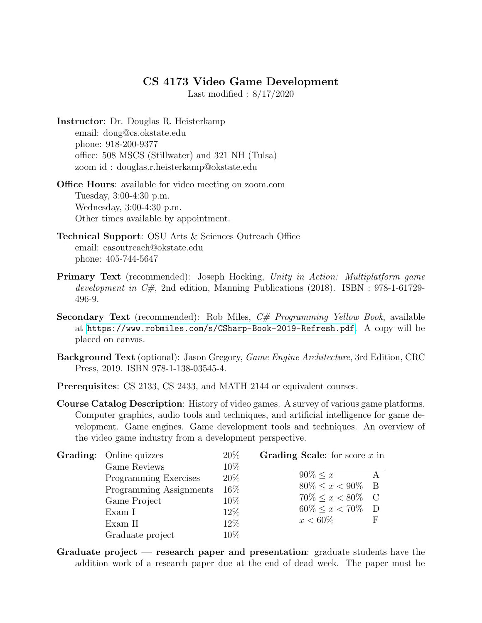## CS 4173 Video Game Development

Last modified : 8/17/2020

Instructor: Dr. Douglas R. Heisterkamp email: doug@cs.okstate.edu phone: 918-200-9377 office: 508 MSCS (Stillwater) and 321 NH (Tulsa) zoom id : douglas.r.heisterkamp@okstate.edu

Office Hours: available for video meeting on zoom.com Tuesday, 3:00-4:30 p.m. Wednesday, 3:00-4:30 p.m. Other times available by appointment.

- Technical Support: OSU Arts & Sciences Outreach Office email: casoutreach@okstate.edu phone: 405-744-5647
- Primary Text (recommended): Joseph Hocking, Unity in Action: Multiplatform game development in  $C#$ , 2nd edition, Manning Publications (2018). ISBN : 978-1-61729-496-9.
- Secondary Text (recommended): Rob Miles,  $C#$  Programming Yellow Book, available at <https://www.robmiles.com/s/CSharp-Book-2019-Refresh.pdf>. A copy will be placed on canvas.
- Background Text (optional): Jason Gregory, Game Engine Architecture, 3rd Edition, CRC Press, 2019. ISBN 978-1-138-03545-4.
- Prerequisites: CS 2133, CS 2433, and MATH 2144 or equivalent courses.
- Course Catalog Description: History of video games. A survey of various game platforms. Computer graphics, audio tools and techniques, and artificial intelligence for game development. Game engines. Game development tools and techniques. An overview of the video game industry from a development perspective.

| <b>Grading:</b> Online quizzes | $20\%$ | Grading Scale: for score $x$ in |  |
|--------------------------------|--------|---------------------------------|--|
| Game Reviews                   | 10\%   |                                 |  |
| Programming Exercises          | 20\%   | $90\% < x$                      |  |
| Programming Assignments        | 16\%   | $80\% \leq x < 90\%$ B          |  |
| Game Project                   | $10\%$ | $70\% < x < 80\%$ C             |  |
| Exam I                         | 12\%   | $60\% \leq x < 70\%$ D          |  |
| Exam II                        | 12\%   | $x < 60\%$                      |  |
| Graduate project               | 10%    |                                 |  |

Graduate project — research paper and presentation: graduate students have the addition work of a research paper due at the end of dead week. The paper must be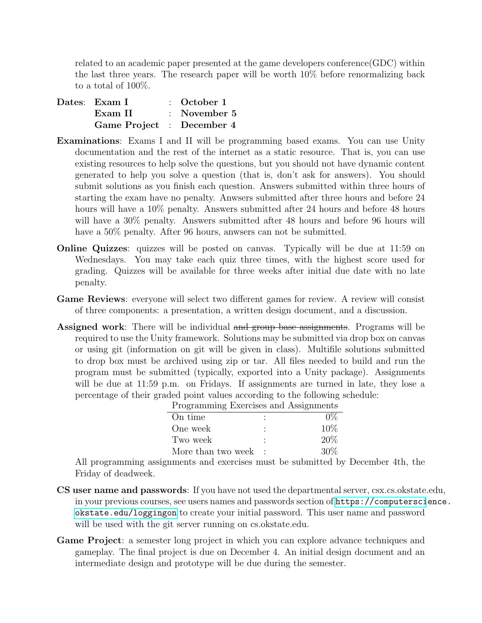related to an academic paper presented at the game developers conference(GDC) within the last three years. The research paper will be worth 10% before renormalizing back to a total of 100%.

| Dates: Exam I             | $\therefore$ October 1  |
|---------------------------|-------------------------|
| Exam II                   | $\therefore$ November 5 |
| Game Project : December 4 |                         |

- Examinations: Exams I and II will be programming based exams. You can use Unity documentation and the rest of the internet as a static resource. That is, you can use existing resources to help solve the questions, but you should not have dynamic content generated to help you solve a question (that is, don't ask for answers). You should submit solutions as you finish each question. Answers submitted within three hours of starting the exam have no penalty. Anwsers submitted after three hours and before 24 hours will have a  $10\%$  penalty. Answers submitted after 24 hours and before 48 hours will have a  $30\%$  penalty. Answers submitted after 48 hours and before 96 hours will have a  $50\%$  penalty. After 96 hours, anweers can not be submitted.
- Online Quizzes: quizzes will be posted on canvas. Typically will be due at 11:59 on Wednesdays. You may take each quiz three times, with the highest score used for grading. Quizzes will be available for three weeks after initial due date with no late penalty.
- Game Reviews: everyone will select two different games for review. A review will consist of three components: a presentation, a written design document, and a discussion.
- Assigned work: There will be individual and group base assignments. Programs will be required to use the Unity framework. Solutions may be submitted via drop box on canvas or using git (information on git will be given in class). Multifile solutions submitted to drop box must be archived using zip or tar. All files needed to build and run the program must be submitted (typically, exported into a Unity package). Assignments will be due at 11:59 p.m. on Fridays. If assignments are turned in late, they lose a percentage of their graded point values according to the following schedule:

| Programming Exercises and Assignments |        |
|---------------------------------------|--------|
| On time                               | $0\%$  |
| One week                              | $10\%$ |
| Two week                              | 20%    |
| More than two week                    | $30\%$ |

All programming assignments and exercises must be submitted by December 4th, the Friday of deadweek.

- CS user name and passwords: If you have not used the departmental server, csx.cs.okstate.edu, in your previous courses, see users names and passwords section of [https://computersci](https://computerscience.okstate.edu/loggingon)ence. [okstate.edu/loggingon](https://computerscience.okstate.edu/loggingon) to create your initial password. This user name and password will be used with the git server running on cs.okstate.edu.
- Game Project: a semester long project in which you can explore advance techniques and gameplay. The final project is due on December 4. An initial design document and an intermediate design and prototype will be due during the semester.